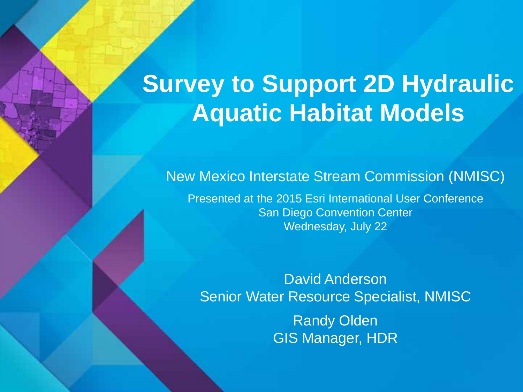# **Survey to Support 2D Hydraulic Aquatic Habitat Models**

#### New Mexico Interstate Stream Commission (NMISC)

Presented at the 2015 Esri International User Conference San Diego Convention Center Wednesday, July 22

David Anderson Senior Water Resource Specialist, NMISC **Randy Olden** 

GIS Manager, HDR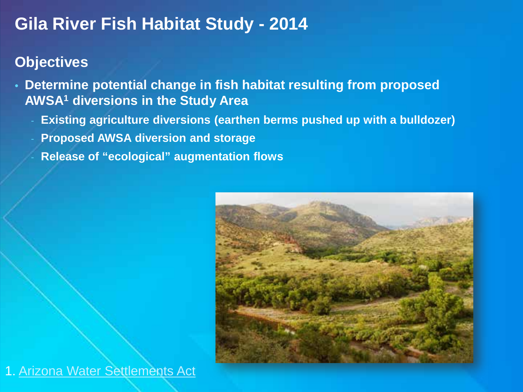### **Gila River Fish Habitat Study - 2014**

#### **Objectives**

- **Determine potential change in fish habitat resulting from proposed AWSA1 diversions in the Study Area**
	- **Existing agriculture diversions (earthen berms pushed up with a bulldozer)**
	- **Proposed AWSA diversion and storage**
	- **Release of "ecological" augmentation flows**



1. [Arizona Water Settlements Act](http://nmawsa.org/)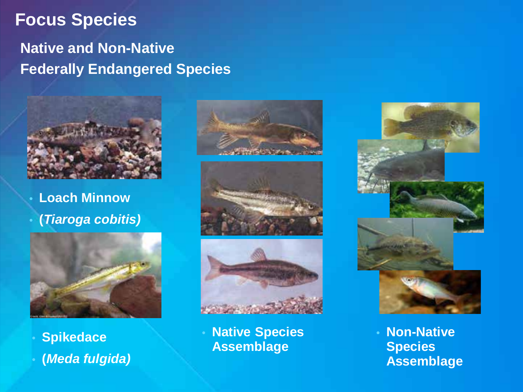#### **Focus Species**

#### **Native and Non-Native Federally Endangered Species**



• **Loach Minnow** • **(***Tiaroga cobitis)*



- **Spikedace**
- **(***Meda fulgida)*







• **Native Species Assemblage**



• **Non-Native Species Assemblage**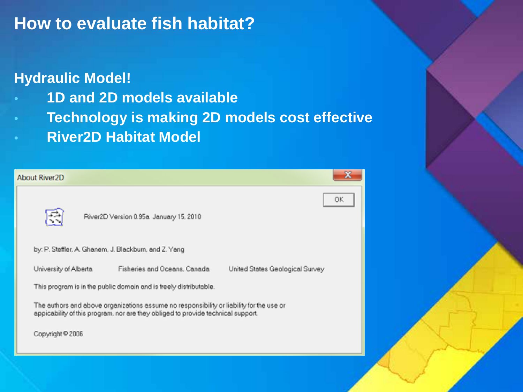### **How to evaluate fish habitat?**

#### **Hydraulic Model!**

Abc

- **1D and 2D models available**
- **Technology is making 2D models cost effective**
- **River2D Habitat Model**

| ut River2D                                                                                                                                                                   |    |
|------------------------------------------------------------------------------------------------------------------------------------------------------------------------------|----|
| River2D Version 0.95a January 15, 2010                                                                                                                                       | ОΚ |
| by: P. Steffler, A. Ghanem, J. Blackburn, and Z. Yang                                                                                                                        |    |
| Fisheries and Oceans, Canada<br>University of Alberta<br>United States Geological Survey                                                                                     |    |
| This program is in the public domain and is freely distributable.                                                                                                            |    |
| The authors and above organizations assume no responsibility or liability for the use or<br>appicability of this program, nor are they obliged to provide technical support. |    |
| Copyright @ 2006                                                                                                                                                             |    |
|                                                                                                                                                                              |    |
|                                                                                                                                                                              |    |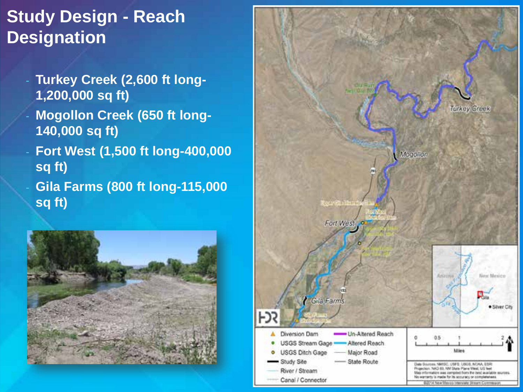# **Study Design - Reach Designation**

- **Turkey Creek (2,600 ft long-1,200,000 sq ft)**
- **Mogollon Creek (650 ft long-140,000 sq ft)**
- **Fort West (1,500 ft long-400,000 sq ft)**
- **Gila Farms (800 ft long-115,000 sq ft)**



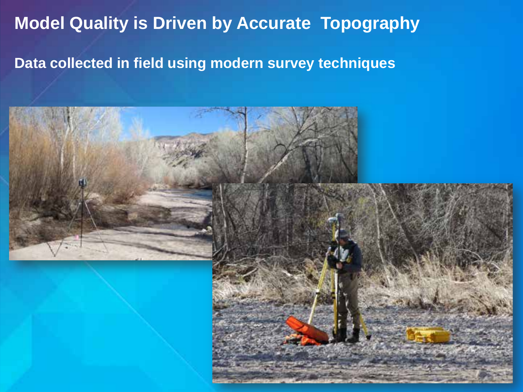# **Model Quality is Driven by Accurate Topography**

#### **Data collected in field using modern survey techniques**

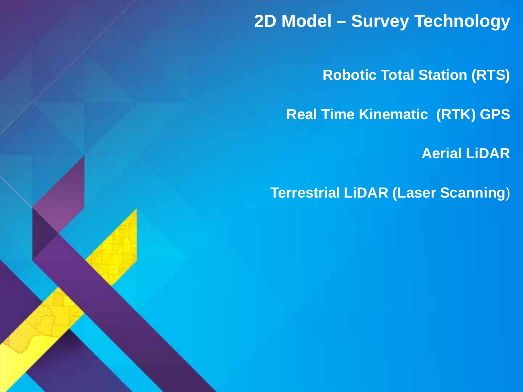**2D Model – Survey Technology**

**Robotic Total Station (RTS)**

**Real Time Kinematic (RTK) GPS**

**Aerial LiDAR**

**Terrestrial LiDAR (Laser Scanning**)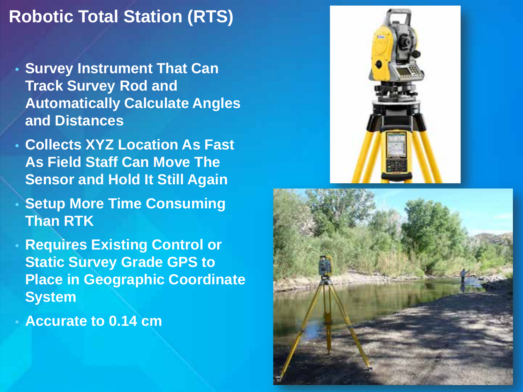## **Robotic Total Station (RTS)**

- **Survey Instrument That Can Track Survey Rod and Automatically Calculate Angles and Distances**
- **Collects XYZ Location As Fast As Field Staff Can Move The Sensor and Hold It Still Again**
- **Setup More Time Consuming Than RTK**
- **Requires Existing Control or Static Survey Grade GPS to Place in Geographic Coordinate System**
- **Accurate to 0.14 cm**



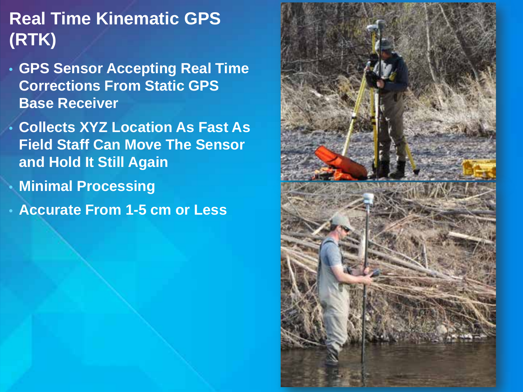# **Real Time Kinematic GPS (RTK)**

- **GPS Sensor Accepting Real Time Corrections From Static GPS Base Receiver**
- **Collects XYZ Location As Fast As Field Staff Can Move The Sensor and Hold It Still Again**
	- **Minimal Processing**
- **Accurate From 1-5 cm or Less**

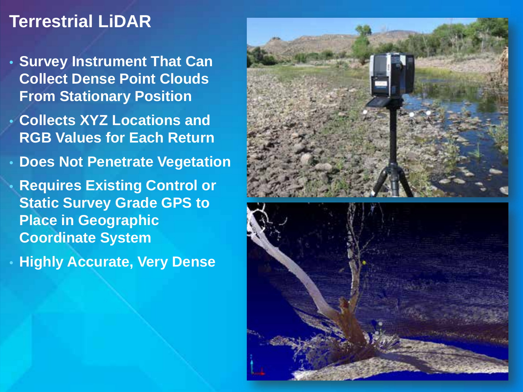### **Terrestrial LiDAR**

- **Survey Instrument That Can Collect Dense Point Clouds From Stationary Position**
- **Collects XYZ Locations and RGB Values for Each Return**
- **Does Not Penetrate Vegetation**
- **Requires Existing Control or Static Survey Grade GPS to Place in Geographic Coordinate System**
- **Highly Accurate, Very Dense**



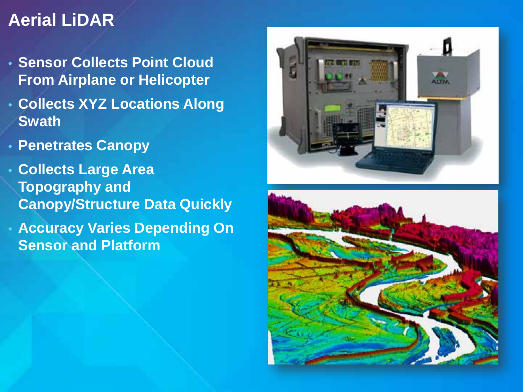### **Aerial LiDAR**

- **Sensor Collects Point Cloud From Airplane or Helicopter**
- **Collects XYZ Locations Along Swath**
- **Penetrates Canopy**
- **Collects Large Area Topography and Canopy/Structure Data Quickly**
- **Accuracy Varies Depending On Sensor and Platform**



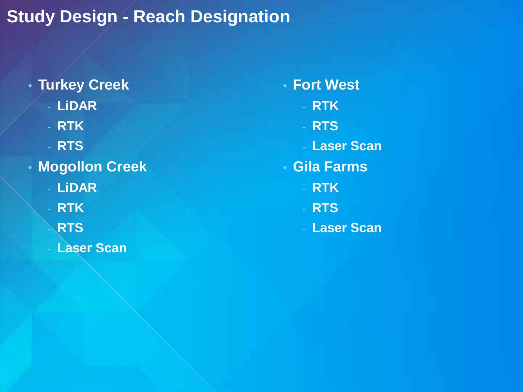# **Study Design - Reach Designation**

• **Turkey Creek** - **LiDAR** - **RTK** - **RTS** • **Mogollon Creek** - **LiDAR** - **RTK** - **RTS Laser Scan** 

• **Fort West** - **RTK** - **RTS Laser Scan** • **Gila Farms** - **RTK** - **RTS Laser Scan**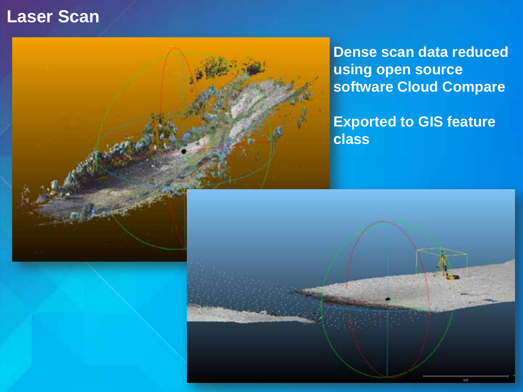#### **Laser Scan**



**Dense scan data reduced using open source software Cloud Compare**

**Exported to GIS feature class**

a.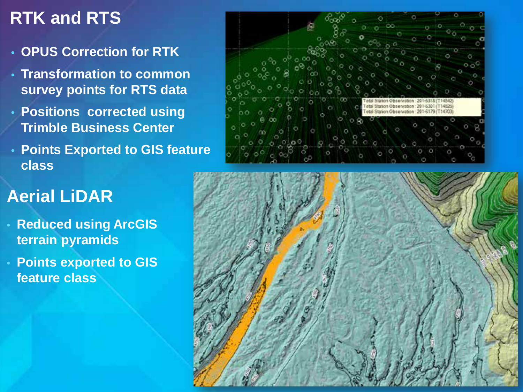# **RTK and RTS**

- **OPUS Correction for RTK**
- **Transformation to common survey points for RTS data**
- **Positions corrected using Trimble Business Center**
- **Points Exported to GIS feature class**

# **Aerial LiDAR**

- **Reduced using ArcGIS terrain pyramids**
- **Points exported to GIS feature class**



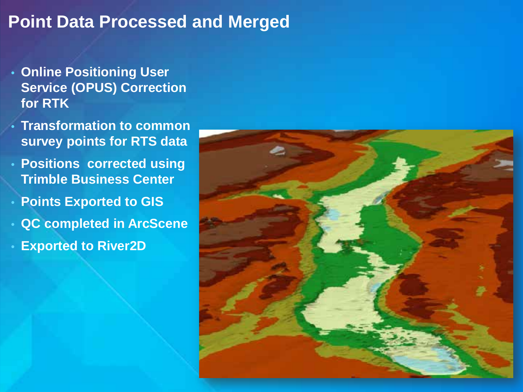#### **Point Data Processed and Merged**

- **Online Positioning User Service (OPUS) Correction for RTK**
- **Transformation to common survey points for RTS data**
- **Positions corrected using Trimble Business Center**
- **Points Exported to GIS**
- **QC completed in ArcScene**
- **Exported to River2D**

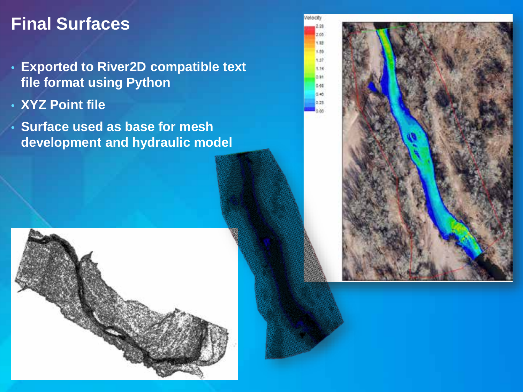### **Final Surfaces**

- **Exported to River2D compatible text file format using Python**
- **XYZ Point file**
- **Surface used as base for mesh development and hydraulic model**

Velocity  $2.28$  $708$ 133 1.55 1.37 1.54 dat 0.68  $0.45$  $0.23$ s as



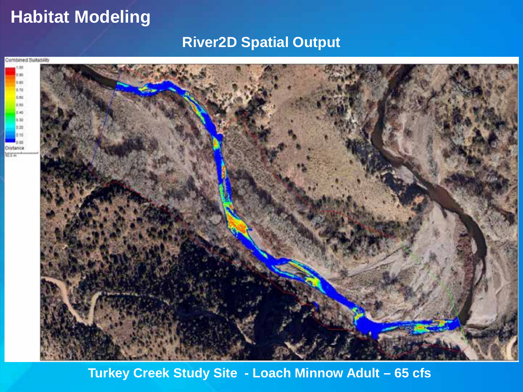### **Habitat Modeling**

#### **River2D Spatial Output**



**Turkey Creek Study Site - Loach Minnow Adult – 65 cfs**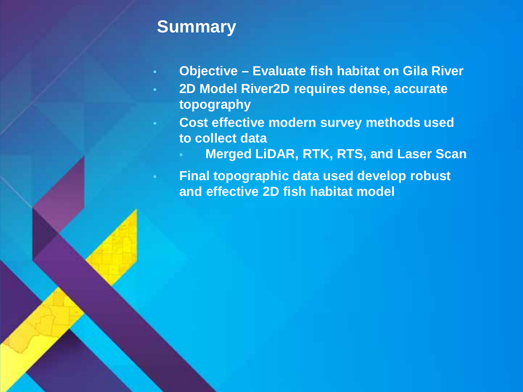#### **Summary**

- **Objective – Evaluate fish habitat on Gila River**
- **2D Model River2D requires dense, accurate topography**
	- **Cost effective modern survey methods used to collect data**
		- **Merged LiDAR, RTK, RTS, and Laser Scan**

• **Final topographic data used develop robust and effective 2D fish habitat model**